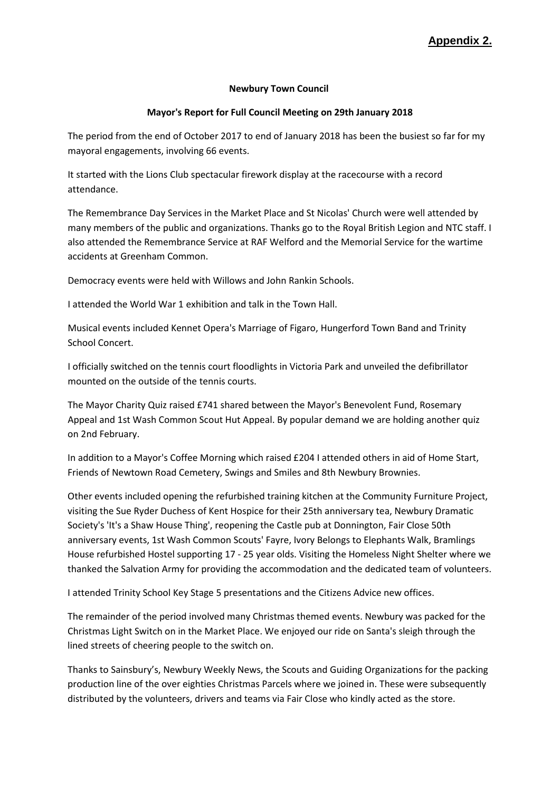## **Appendix 2.**

## **Newbury Town Council**

## **Mayor's Report for Full Council Meeting on 29th January 2018**

The period from the end of October 2017 to end of January 2018 has been the busiest so far for my mayoral engagements, involving 66 events.

It started with the Lions Club spectacular firework display at the racecourse with a record attendance.

The Remembrance Day Services in the Market Place and St Nicolas' Church were well attended by many members of the public and organizations. Thanks go to the Royal British Legion and NTC staff. I also attended the Remembrance Service at RAF Welford and the Memorial Service for the wartime accidents at Greenham Common.

Democracy events were held with Willows and John Rankin Schools.

I attended the World War 1 exhibition and talk in the Town Hall.

Musical events included Kennet Opera's Marriage of Figaro, Hungerford Town Band and Trinity School Concert.

I officially switched on the tennis court floodlights in Victoria Park and unveiled the defibrillator mounted on the outside of the tennis courts.

The Mayor Charity Quiz raised £741 shared between the Mayor's Benevolent Fund, Rosemary Appeal and 1st Wash Common Scout Hut Appeal. By popular demand we are holding another quiz on 2nd February.

In addition to a Mayor's Coffee Morning which raised £204 I attended others in aid of Home Start, Friends of Newtown Road Cemetery, Swings and Smiles and 8th Newbury Brownies.

Other events included opening the refurbished training kitchen at the Community Furniture Project, visiting the Sue Ryder Duchess of Kent Hospice for their 25th anniversary tea, Newbury Dramatic Society's 'It's a Shaw House Thing', reopening the Castle pub at Donnington, Fair Close 50th anniversary events, 1st Wash Common Scouts' Fayre, Ivory Belongs to Elephants Walk, Bramlings House refurbished Hostel supporting 17 - 25 year olds. Visiting the Homeless Night Shelter where we thanked the Salvation Army for providing the accommodation and the dedicated team of volunteers.

I attended Trinity School Key Stage 5 presentations and the Citizens Advice new offices.

The remainder of the period involved many Christmas themed events. Newbury was packed for the Christmas Light Switch on in the Market Place. We enjoyed our ride on Santa's sleigh through the lined streets of cheering people to the switch on.

Thanks to Sainsbury's, Newbury Weekly News, the Scouts and Guiding Organizations for the packing production line of the over eighties Christmas Parcels where we joined in. These were subsequently distributed by the volunteers, drivers and teams via Fair Close who kindly acted as the store.